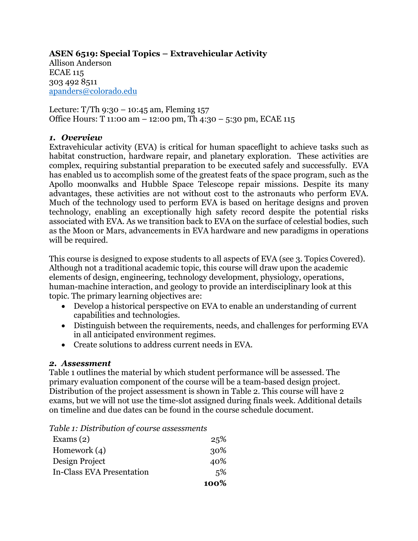# **ASEN 6519: Special Topics – Extravehicular Activity**

Allison Anderson ECAE 115 303 492 8511 apanders@colorado.edu

Lecture:  $T/Th$  9:30 – 10:45 am, Fleming 157 Office Hours: T 11:00 am – 12:00 pm, Th 4:30 – 5:30 pm, ECAE 115

#### *1. Overview*

Extravehicular activity (EVA) is critical for human spaceflight to achieve tasks such as habitat construction, hardware repair, and planetary exploration. These activities are complex, requiring substantial preparation to be executed safely and successfully. EVA has enabled us to accomplish some of the greatest feats of the space program, such as the Apollo moonwalks and Hubble Space Telescope repair missions. Despite its many advantages, these activities are not without cost to the astronauts who perform EVA. Much of the technology used to perform EVA is based on heritage designs and proven technology, enabling an exceptionally high safety record despite the potential risks associated with EVA. As we transition back to EVA on the surface of celestial bodies, such as the Moon or Mars, advancements in EVA hardware and new paradigms in operations will be required.

This course is designed to expose students to all aspects of EVA (see 3. Topics Covered). Although not a traditional academic topic, this course will draw upon the academic elements of design, engineering, technology development, physiology, operations, human-machine interaction, and geology to provide an interdisciplinary look at this topic. The primary learning objectives are:

- Develop a historical perspective on EVA to enable an understanding of current capabilities and technologies.
- Distinguish between the requirements, needs, and challenges for performing EVA in all anticipated environment regimes.
- Create solutions to address current needs in EVA.

#### *2. Assessment*

Table 1 outlines the material by which student performance will be assessed. The primary evaluation component of the course will be a team-based design project. Distribution of the project assessment is shown in Table 2. This course will have 2 exams, but we will not use the time-slot assigned during finals week. Additional details on timeline and due dates can be found in the course schedule document.

| Table 1: Distribution of course assessments |  |
|---------------------------------------------|--|
|---------------------------------------------|--|

| Exams $(2)$                      | 25%  |
|----------------------------------|------|
| Homework $(4)$                   | 30%  |
| Design Project                   | 40%  |
| <b>In-Class EVA Presentation</b> | 5%   |
|                                  | 100% |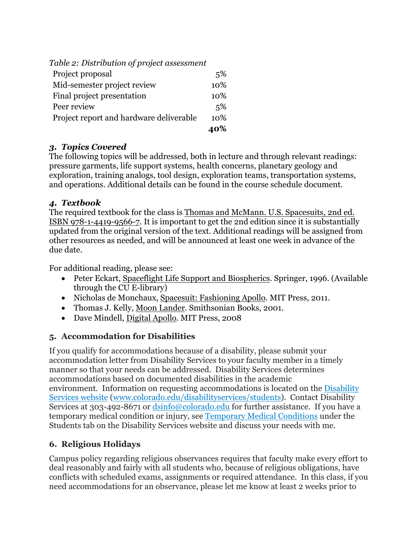| Table 2: Distribution of project assessment |     |
|---------------------------------------------|-----|
| Project proposal                            | 5%  |
| Mid-semester project review                 | 10% |
| Final project presentation                  | 10% |
| Peer review                                 | 5%  |
| Project report and hardware deliverable     | 10% |
|                                             |     |

#### *3. Topics Covered*

The following topics will be addressed, both in lecture and through relevant readings: pressure garments, life support systems, health concerns, planetary geology and exploration, training analogs, tool design, exploration teams, transportation systems, and operations. Additional details can be found in the course schedule document.

#### *4. Textbook*

The required textbook for the class is Thomas and McMann. U.S. Spacesuits, 2nd ed. ISBN 978-1-4419-9566-7. It is important to get the 2nd edition since it is substantially updated from the original version of the text. Additional readings will be assigned from other resources as needed, and will be announced at least one week in advance of the due date.

For additional reading, please see:

- Peter Eckart, Spaceflight Life Support and Biospherics. Springer, 1996. (Available through the CU E-library)
- Nicholas de Monchaux, Spacesuit: Fashioning Apollo. MIT Press, 2011.
- Thomas J. Kelly, Moon Lander. Smithsonian Books, 2001.
- Dave Mindell, Digital Apollo. MIT Press, 2008

# **5. Accommodation for Disabilities**

If you qualify for accommodations because of a disability, please submit your accommodation letter from Disability Services to your faculty member in a timely manner so that your needs can be addressed. Disability Services determines accommodations based on documented disabilities in the academic environment. Information on requesting accommodations is located on the Disability Services website (www.colorado.edu/disabilityservices/students). Contact Disability Services at 303-492-8671 or  $\frac{d\sin 6}{\cos 0}$  colorado.edu for further assistance. If you have a temporary medical condition or injury, see Temporary Medical Conditions under the Students tab on the Disability Services website and discuss your needs with me.

# **6. Religious Holidays**

Campus policy regarding religious observances requires that faculty make every effort to deal reasonably and fairly with all students who, because of religious obligations, have conflicts with scheduled exams, assignments or required attendance. In this class, if you need accommodations for an observance, please let me know at least 2 weeks prior to